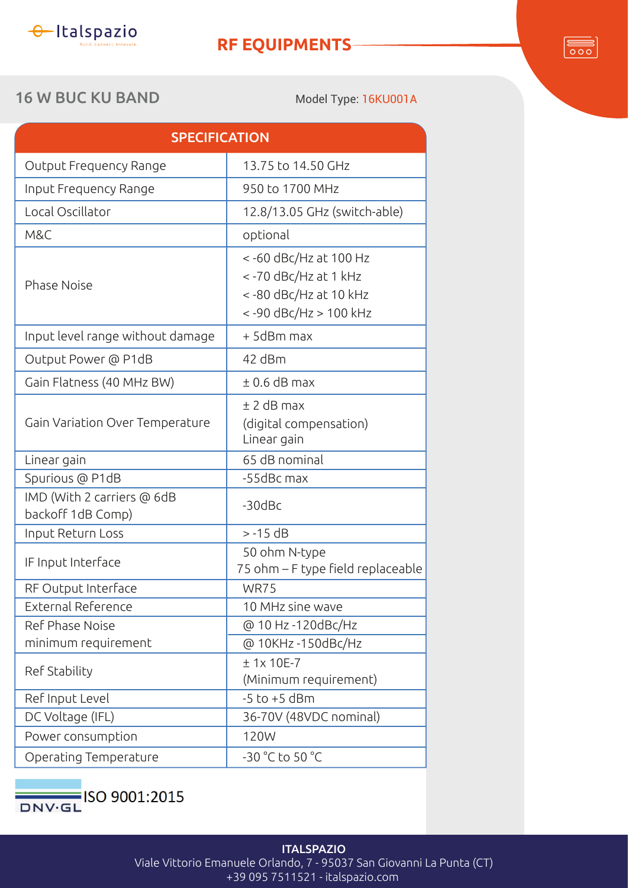

## **RF EQUIPMENTS**

## 16 W BUC KU BAND Model Type: 16KU001A

 $\overline{\overline{\circ\circ}}$ 

| 12.8/13.05 GHz (switch-able)                                                                    |  |  |
|-------------------------------------------------------------------------------------------------|--|--|
|                                                                                                 |  |  |
| <-60 dBc/Hz at 100 Hz<br><-70 dBc/Hz at 1 kHz<br><-80 dBc/Hz at 10 kHz<br><-90 dBc/Hz > 100 kHz |  |  |
| + 5dBm max                                                                                      |  |  |
| 42 dBm                                                                                          |  |  |
| $± 0.6$ dB max                                                                                  |  |  |
| $±$ 2 dB max<br>(digital compensation)<br>Linear gain                                           |  |  |
|                                                                                                 |  |  |
| -55dBc max                                                                                      |  |  |
| $-30$ dBc                                                                                       |  |  |
| $> -15$ dB                                                                                      |  |  |
| 50 ohm N-type<br>75 ohm - F type field replaceable                                              |  |  |
|                                                                                                 |  |  |
| 10 MHz sine wave                                                                                |  |  |
| @ 10 Hz -120dBc/Hz                                                                              |  |  |
| @ 10KHz -150dBc/Hz                                                                              |  |  |
| $± 1x 10E-7$<br>(Minimum requirement)                                                           |  |  |
|                                                                                                 |  |  |
| 36-70V (48VDC nominal)                                                                          |  |  |
|                                                                                                 |  |  |
|                                                                                                 |  |  |
|                                                                                                 |  |  |



## **ITALSPAZIO** Viale Vittorio Emanuele Orlando, 7 - 95037 San Giovanni La Punta (CT) +39 095 7511521 - italspazio.com